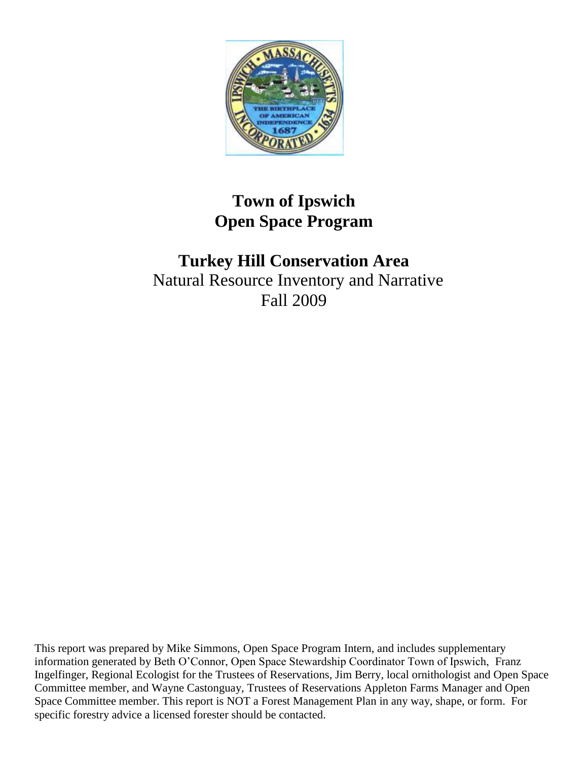

# **Town of Ipswich Open Space Program**

# **Turkey Hill Conservation Area** Natural Resource Inventory and Narrative Fall 2009

This report was prepared by Mike Simmons, Open Space Program Intern, and includes supplementary information generated by Beth O'Connor, Open Space Stewardship Coordinator Town of Ipswich, Franz Ingelfinger, Regional Ecologist for the Trustees of Reservations, Jim Berry, local ornithologist and Open Space Committee member, and Wayne Castonguay, Trustees of Reservations Appleton Farms Manager and Open Space Committee member. This report is NOT a Forest Management Plan in any way, shape, or form. For specific forestry advice a licensed forester should be contacted.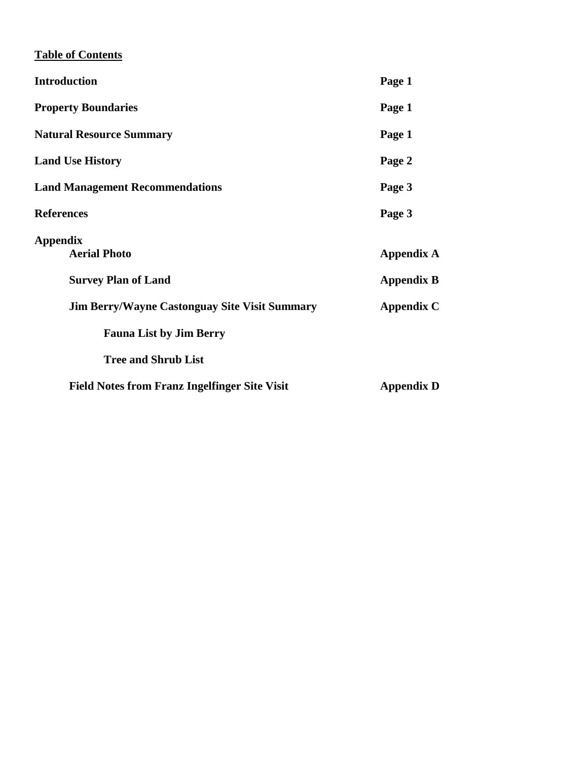## **Table of Contents**

| <b>Introduction</b>                                  | Page 1            |
|------------------------------------------------------|-------------------|
| <b>Property Boundaries</b>                           | Page 1            |
| <b>Natural Resource Summary</b>                      | Page 1            |
| <b>Land Use History</b>                              | Page 2            |
| <b>Land Management Recommendations</b>               | Page 3            |
| <b>References</b>                                    | Page 3            |
| <b>Appendix</b><br><b>Aerial Photo</b>               | Appendix A        |
| <b>Survey Plan of Land</b>                           | <b>Appendix B</b> |
| <b>Jim Berry/Wayne Castonguay Site Visit Summary</b> | Appendix C        |
| <b>Fauna List by Jim Berry</b>                       |                   |
| <b>Tree and Shrub List</b>                           |                   |
| <b>Field Notes from Franz Ingelfinger Site Visit</b> | <b>Appendix D</b> |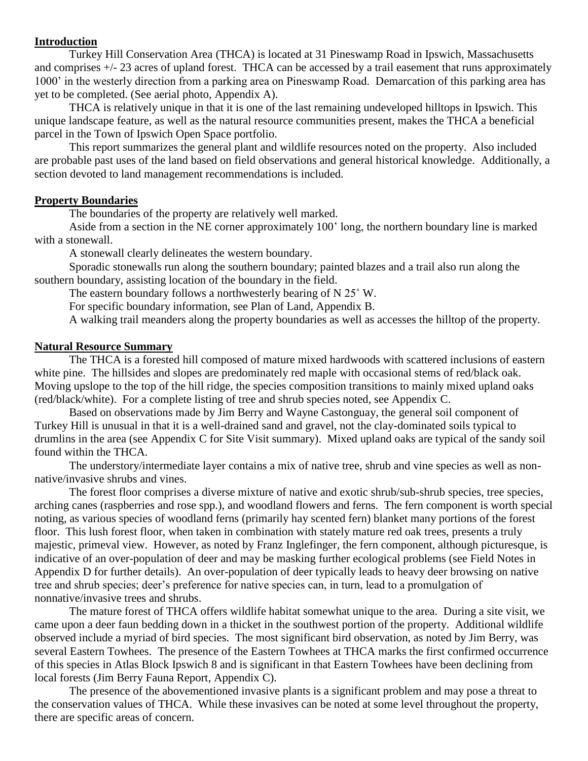#### **Introduction**

Turkey Hill Conservation Area (THCA) is located at 31 Pineswamp Road in Ipswich, Massachusetts and comprises +/- 23 acres of upland forest. THCA can be accessed by a trail easement that runs approximately 1000' in the westerly direction from a parking area on Pineswamp Road. Demarcation of this parking area has yet to be completed. (See aerial photo, Appendix A).

THCA is relatively unique in that it is one of the last remaining undeveloped hilltops in Ipswich. This unique landscape feature, as well as the natural resource communities present, makes the THCA a beneficial parcel in the Town of Ipswich Open Space portfolio.

This report summarizes the general plant and wildlife resources noted on the property. Also included are probable past uses of the land based on field observations and general historical knowledge. Additionally, a section devoted to land management recommendations is included.

#### **Property Boundaries**

The boundaries of the property are relatively well marked.

Aside from a section in the NE corner approximately 100' long, the northern boundary line is marked with a stonewall.

A stonewall clearly delineates the western boundary.

Sporadic stonewalls run along the southern boundary; painted blazes and a trail also run along the southern boundary, assisting location of the boundary in the field.

The eastern boundary follows a northwesterly bearing of N 25˚ W.

For specific boundary information, see Plan of Land, Appendix B.

A walking trail meanders along the property boundaries as well as accesses the hilltop of the property.

#### **Natural Resource Summary**

The THCA is a forested hill composed of mature mixed hardwoods with scattered inclusions of eastern white pine. The hillsides and slopes are predominately red maple with occasional stems of red/black oak. Moving upslope to the top of the hill ridge, the species composition transitions to mainly mixed upland oaks (red/black/white). For a complete listing of tree and shrub species noted, see Appendix C.

Based on observations made by Jim Berry and Wayne Castonguay, the general soil component of Turkey Hill is unusual in that it is a well-drained sand and gravel, not the clay-dominated soils typical to drumlins in the area (see Appendix C for Site Visit summary). Mixed upland oaks are typical of the sandy soil found within the THCA.

The understory/intermediate layer contains a mix of native tree, shrub and vine species as well as nonnative/invasive shrubs and vines.

The forest floor comprises a diverse mixture of native and exotic shrub/sub-shrub species, tree species, arching canes (raspberries and rose spp.), and woodland flowers and ferns. The fern component is worth special noting, as various species of woodland ferns (primarily hay scented fern) blanket many portions of the forest floor. This lush forest floor, when taken in combination with stately mature red oak trees, presents a truly majestic, primeval view. However, as noted by Franz Inglefinger, the fern component, although picturesque, is indicative of an over-population of deer and may be masking further ecological problems (see Field Notes in Appendix D for further details). An over-population of deer typically leads to heavy deer browsing on native tree and shrub species; deer's preference for native species can, in turn, lead to a promulgation of nonnative/invasive trees and shrubs.

The mature forest of THCA offers wildlife habitat somewhat unique to the area. During a site visit, we came upon a deer faun bedding down in a thicket in the southwest portion of the property. Additional wildlife observed include a myriad of bird species. The most significant bird observation, as noted by Jim Berry, was several Eastern Towhees. The presence of the Eastern Towhees at THCA marks the first confirmed occurrence of this species in Atlas Block Ipswich 8 and is significant in that Eastern Towhees have been declining from local forests (Jim Berry Fauna Report, Appendix C).

The presence of the abovementioned invasive plants is a significant problem and may pose a threat to the conservation values of THCA. While these invasives can be noted at some level throughout the property, there are specific areas of concern.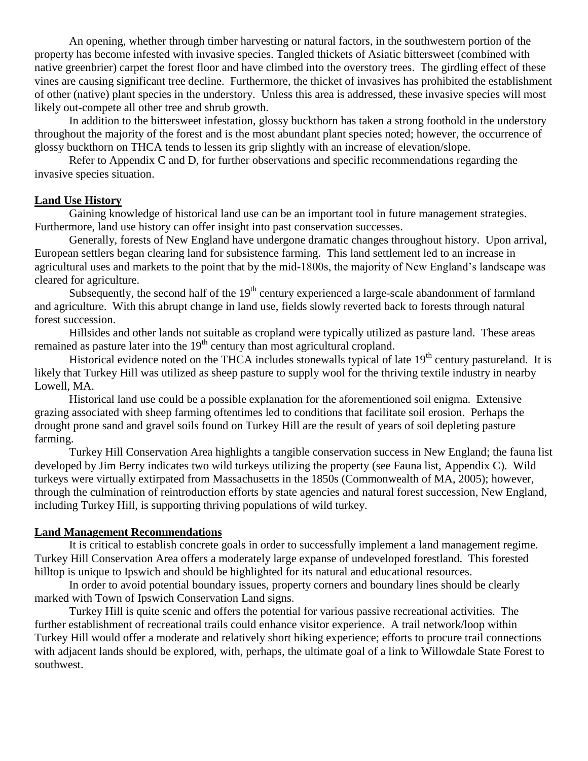An opening, whether through timber harvesting or natural factors, in the southwestern portion of the property has become infested with invasive species. Tangled thickets of Asiatic bittersweet (combined with native greenbrier) carpet the forest floor and have climbed into the overstory trees. The girdling effect of these vines are causing significant tree decline. Furthermore, the thicket of invasives has prohibited the establishment of other (native) plant species in the understory. Unless this area is addressed, these invasive species will most likely out-compete all other tree and shrub growth.

In addition to the bittersweet infestation, glossy buckthorn has taken a strong foothold in the understory throughout the majority of the forest and is the most abundant plant species noted; however, the occurrence of glossy buckthorn on THCA tends to lessen its grip slightly with an increase of elevation/slope.

Refer to Appendix C and D, for further observations and specific recommendations regarding the invasive species situation.

#### **Land Use History**

Gaining knowledge of historical land use can be an important tool in future management strategies. Furthermore, land use history can offer insight into past conservation successes.

Generally, forests of New England have undergone dramatic changes throughout history. Upon arrival, European settlers began clearing land for subsistence farming. This land settlement led to an increase in agricultural uses and markets to the point that by the mid-1800s, the majority of New England's landscape was cleared for agriculture.

Subsequently, the second half of the  $19<sup>th</sup>$  century experienced a large-scale abandonment of farmland and agriculture. With this abrupt change in land use, fields slowly reverted back to forests through natural forest succession.

Hillsides and other lands not suitable as cropland were typically utilized as pasture land. These areas remained as pasture later into the  $19<sup>th</sup>$  century than most agricultural cropland.

Historical evidence noted on the THCA includes stonewalls typical of late 19<sup>th</sup> century pastureland. It is likely that Turkey Hill was utilized as sheep pasture to supply wool for the thriving textile industry in nearby Lowell, MA.

Historical land use could be a possible explanation for the aforementioned soil enigma. Extensive grazing associated with sheep farming oftentimes led to conditions that facilitate soil erosion. Perhaps the drought prone sand and gravel soils found on Turkey Hill are the result of years of soil depleting pasture farming.

Turkey Hill Conservation Area highlights a tangible conservation success in New England; the fauna list developed by Jim Berry indicates two wild turkeys utilizing the property (see Fauna list, Appendix C). Wild turkeys were virtually extirpated from Massachusetts in the 1850s (Commonwealth of MA, 2005); however, through the culmination of reintroduction efforts by state agencies and natural forest succession, New England, including Turkey Hill, is supporting thriving populations of wild turkey.

#### **Land Management Recommendations**

It is critical to establish concrete goals in order to successfully implement a land management regime. Turkey Hill Conservation Area offers a moderately large expanse of undeveloped forestland. This forested hilltop is unique to Ipswich and should be highlighted for its natural and educational resources.

In order to avoid potential boundary issues, property corners and boundary lines should be clearly marked with Town of Ipswich Conservation Land signs.

Turkey Hill is quite scenic and offers the potential for various passive recreational activities. The further establishment of recreational trails could enhance visitor experience. A trail network/loop within Turkey Hill would offer a moderate and relatively short hiking experience; efforts to procure trail connections with adjacent lands should be explored, with, perhaps, the ultimate goal of a link to Willowdale State Forest to southwest.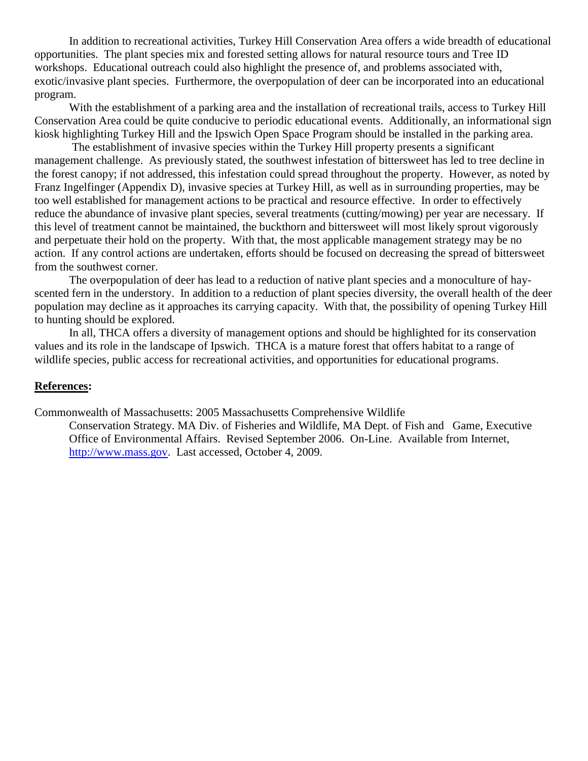In addition to recreational activities, Turkey Hill Conservation Area offers a wide breadth of educational opportunities. The plant species mix and forested setting allows for natural resource tours and Tree ID workshops. Educational outreach could also highlight the presence of, and problems associated with, exotic/invasive plant species. Furthermore, the overpopulation of deer can be incorporated into an educational program.

With the establishment of a parking area and the installation of recreational trails, access to Turkey Hill Conservation Area could be quite conducive to periodic educational events. Additionally, an informational sign kiosk highlighting Turkey Hill and the Ipswich Open Space Program should be installed in the parking area.

The establishment of invasive species within the Turkey Hill property presents a significant management challenge. As previously stated, the southwest infestation of bittersweet has led to tree decline in the forest canopy; if not addressed, this infestation could spread throughout the property. However, as noted by Franz Ingelfinger (Appendix D), invasive species at Turkey Hill, as well as in surrounding properties, may be too well established for management actions to be practical and resource effective. In order to effectively reduce the abundance of invasive plant species, several treatments (cutting/mowing) per year are necessary. If this level of treatment cannot be maintained, the buckthorn and bittersweet will most likely sprout vigorously and perpetuate their hold on the property. With that, the most applicable management strategy may be no action. If any control actions are undertaken, efforts should be focused on decreasing the spread of bittersweet from the southwest corner.

The overpopulation of deer has lead to a reduction of native plant species and a monoculture of hayscented fern in the understory. In addition to a reduction of plant species diversity, the overall health of the deer population may decline as it approaches its carrying capacity. With that, the possibility of opening Turkey Hill to hunting should be explored.

In all, THCA offers a diversity of management options and should be highlighted for its conservation values and its role in the landscape of Ipswich. THCA is a mature forest that offers habitat to a range of wildlife species, public access for recreational activities, and opportunities for educational programs.

#### **References:**

Commonwealth of Massachusetts: 2005 Massachusetts Comprehensive Wildlife

Conservation Strategy. MA Div. of Fisheries and Wildlife, MA Dept. of Fish and Game, Executive Office of Environmental Affairs. Revised September 2006. On-Line. Available from Internet, [http://www.mass.gov.](http://www.mass.gov/) Last accessed, October 4, 2009.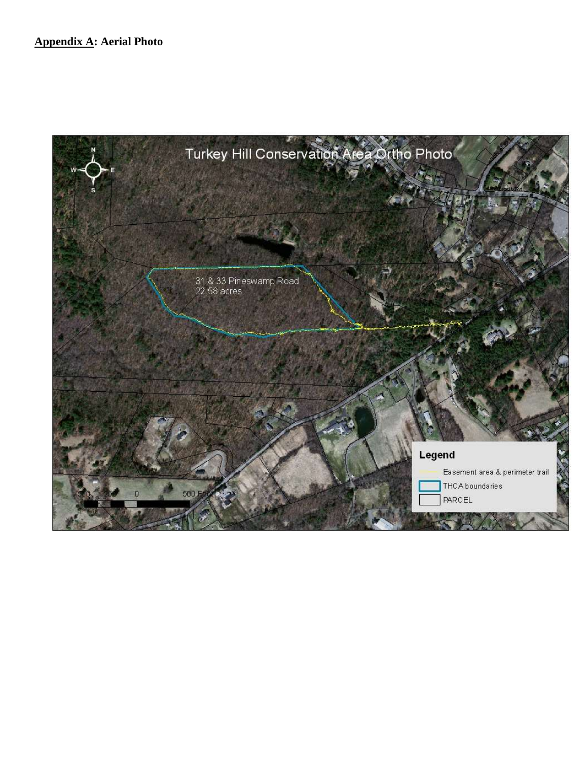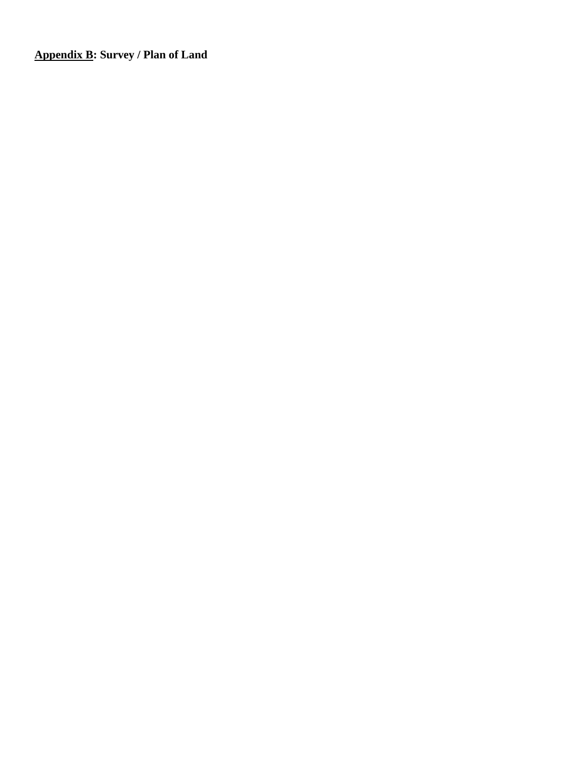**Appendix B: Survey / Plan of Land**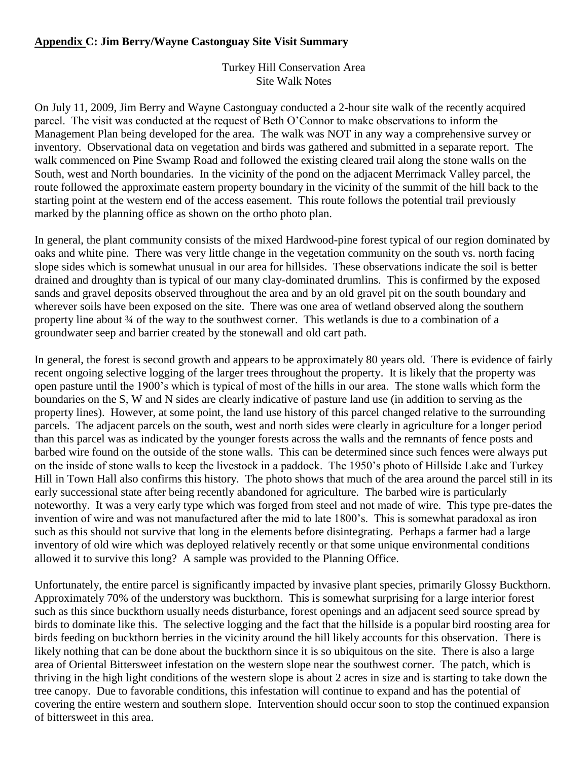## **Appendix C: Jim Berry/Wayne Castonguay Site Visit Summary**

Turkey Hill Conservation Area Site Walk Notes

On July 11, 2009, Jim Berry and Wayne Castonguay conducted a 2-hour site walk of the recently acquired parcel. The visit was conducted at the request of Beth O'Connor to make observations to inform the Management Plan being developed for the area. The walk was NOT in any way a comprehensive survey or inventory. Observational data on vegetation and birds was gathered and submitted in a separate report. The walk commenced on Pine Swamp Road and followed the existing cleared trail along the stone walls on the South, west and North boundaries. In the vicinity of the pond on the adjacent Merrimack Valley parcel, the route followed the approximate eastern property boundary in the vicinity of the summit of the hill back to the starting point at the western end of the access easement. This route follows the potential trail previously marked by the planning office as shown on the ortho photo plan.

In general, the plant community consists of the mixed Hardwood-pine forest typical of our region dominated by oaks and white pine. There was very little change in the vegetation community on the south vs. north facing slope sides which is somewhat unusual in our area for hillsides. These observations indicate the soil is better drained and droughty than is typical of our many clay-dominated drumlins. This is confirmed by the exposed sands and gravel deposits observed throughout the area and by an old gravel pit on the south boundary and wherever soils have been exposed on the site. There was one area of wetland observed along the southern property line about  $\frac{3}{4}$  of the way to the southwest corner. This wetlands is due to a combination of a groundwater seep and barrier created by the stonewall and old cart path.

In general, the forest is second growth and appears to be approximately 80 years old. There is evidence of fairly recent ongoing selective logging of the larger trees throughout the property. It is likely that the property was open pasture until the 1900's which is typical of most of the hills in our area. The stone walls which form the boundaries on the S, W and N sides are clearly indicative of pasture land use (in addition to serving as the property lines). However, at some point, the land use history of this parcel changed relative to the surrounding parcels. The adjacent parcels on the south, west and north sides were clearly in agriculture for a longer period than this parcel was as indicated by the younger forests across the walls and the remnants of fence posts and barbed wire found on the outside of the stone walls. This can be determined since such fences were always put on the inside of stone walls to keep the livestock in a paddock. The 1950's photo of Hillside Lake and Turkey Hill in Town Hall also confirms this history. The photo shows that much of the area around the parcel still in its early successional state after being recently abandoned for agriculture. The barbed wire is particularly noteworthy. It was a very early type which was forged from steel and not made of wire. This type pre-dates the invention of wire and was not manufactured after the mid to late 1800's. This is somewhat paradoxal as iron such as this should not survive that long in the elements before disintegrating. Perhaps a farmer had a large inventory of old wire which was deployed relatively recently or that some unique environmental conditions allowed it to survive this long? A sample was provided to the Planning Office.

Unfortunately, the entire parcel is significantly impacted by invasive plant species, primarily Glossy Buckthorn. Approximately 70% of the understory was buckthorn. This is somewhat surprising for a large interior forest such as this since buckthorn usually needs disturbance, forest openings and an adjacent seed source spread by birds to dominate like this. The selective logging and the fact that the hillside is a popular bird roosting area for birds feeding on buckthorn berries in the vicinity around the hill likely accounts for this observation. There is likely nothing that can be done about the buckthorn since it is so ubiquitous on the site. There is also a large area of Oriental Bittersweet infestation on the western slope near the southwest corner. The patch, which is thriving in the high light conditions of the western slope is about 2 acres in size and is starting to take down the tree canopy. Due to favorable conditions, this infestation will continue to expand and has the potential of covering the entire western and southern slope. Intervention should occur soon to stop the continued expansion of bittersweet in this area.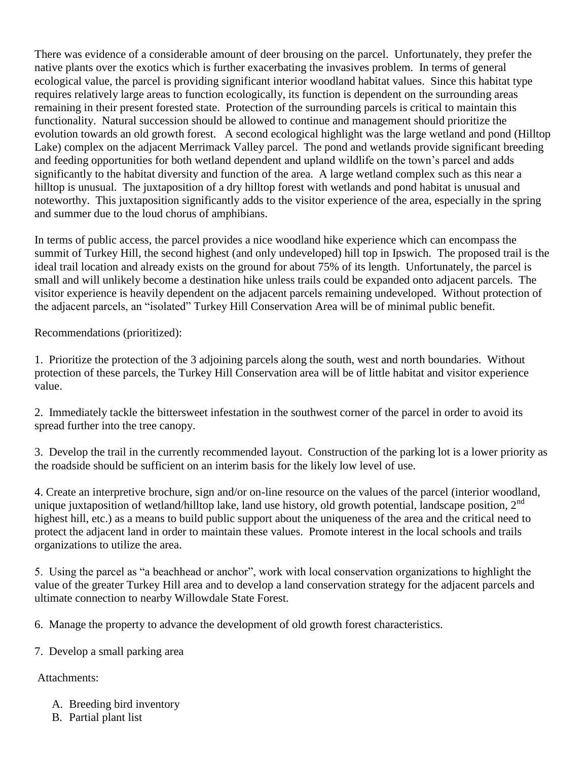There was evidence of a considerable amount of deer brousing on the parcel. Unfortunately, they prefer the native plants over the exotics which is further exacerbating the invasives problem. In terms of general ecological value, the parcel is providing significant interior woodland habitat values. Since this habitat type requires relatively large areas to function ecologically, its function is dependent on the surrounding areas remaining in their present forested state. Protection of the surrounding parcels is critical to maintain this functionality. Natural succession should be allowed to continue and management should prioritize the evolution towards an old growth forest. A second ecological highlight was the large wetland and pond (Hilltop Lake) complex on the adjacent Merrimack Valley parcel. The pond and wetlands provide significant breeding and feeding opportunities for both wetland dependent and upland wildlife on the town's parcel and adds significantly to the habitat diversity and function of the area. A large wetland complex such as this near a hilltop is unusual. The juxtaposition of a dry hilltop forest with wetlands and pond habitat is unusual and noteworthy. This juxtaposition significantly adds to the visitor experience of the area, especially in the spring and summer due to the loud chorus of amphibians.

In terms of public access, the parcel provides a nice woodland hike experience which can encompass the summit of Turkey Hill, the second highest (and only undeveloped) hill top in Ipswich. The proposed trail is the ideal trail location and already exists on the ground for about 75% of its length. Unfortunately, the parcel is small and will unlikely become a destination hike unless trails could be expanded onto adjacent parcels. The visitor experience is heavily dependent on the adjacent parcels remaining undeveloped. Without protection of the adjacent parcels, an "isolated" Turkey Hill Conservation Area will be of minimal public benefit.

Recommendations (prioritized):

1. Prioritize the protection of the 3 adjoining parcels along the south, west and north boundaries. Without protection of these parcels, the Turkey Hill Conservation area will be of little habitat and visitor experience value.

2. Immediately tackle the bittersweet infestation in the southwest corner of the parcel in order to avoid its spread further into the tree canopy.

3. Develop the trail in the currently recommended layout. Construction of the parking lot is a lower priority as the roadside should be sufficient on an interim basis for the likely low level of use.

4. Create an interpretive brochure, sign and/or on-line resource on the values of the parcel (interior woodland, unique juxtaposition of wetland/hilltop lake, land use history, old growth potential, landscape position,  $2<sup>nd</sup>$ highest hill, etc.) as a means to build public support about the uniqueness of the area and the critical need to protect the adjacent land in order to maintain these values. Promote interest in the local schools and trails organizations to utilize the area.

5. Using the parcel as "a beachhead or anchor", work with local conservation organizations to highlight the value of the greater Turkey Hill area and to develop a land conservation strategy for the adjacent parcels and ultimate connection to nearby Willowdale State Forest.

6. Manage the property to advance the development of old growth forest characteristics.

7. Develop a small parking area

## Attachments:

- A. Breeding bird inventory
- B. Partial plant list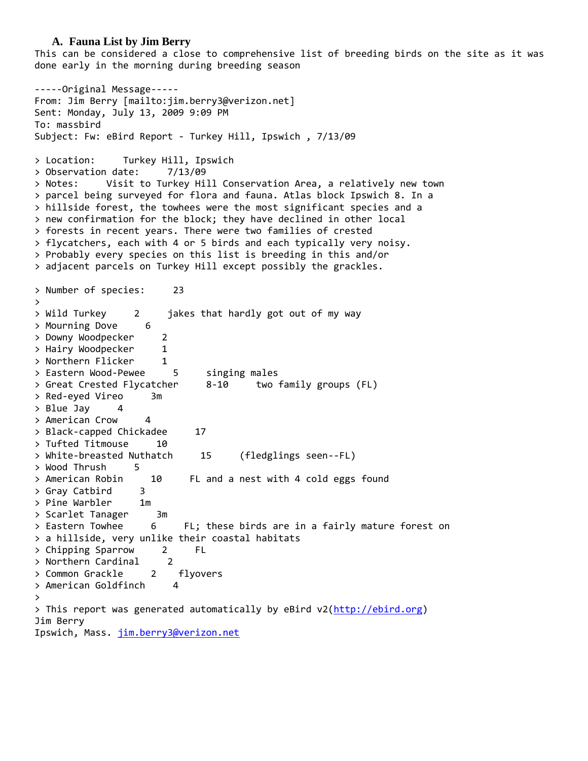#### **A. Fauna List by Jim Berry**

This can be considered a close to comprehensive list of breeding birds on the site as it was done early in the morning during breeding season

-----Original Message----- From: Jim Berry [mailto:jim.berry3@verizon.net] Sent: Monday, July 13, 2009 9:09 PM To: massbird Subject: Fw: eBird Report - Turkey Hill, Ipswich , 7/13/09 > Location: Turkey Hill, Ipswich > Observation date: 7/13/09 > Notes: Visit to Turkey Hill Conservation Area, a relatively new town > parcel being surveyed for flora and fauna. Atlas block Ipswich 8. In a > hillside forest, the towhees were the most significant species and a > new confirmation for the block; they have declined in other local > forests in recent years. There were two families of crested > flycatchers, each with 4 or 5 birds and each typically very noisy. > Probably every species on this list is breeding in this and/or > adjacent parcels on Turkey Hill except possibly the grackles. > Number of species: 23 > > Wild Turkey 2 jakes that hardly got out of my way > Mourning Dove 6 > Downy Woodpecker 2 > Hairy Woodpecker 1 > Northern Flicker 1 > Eastern Wood-Pewee 5 singing males > Great Crested Flycatcher 8-10 two family groups (FL) > Red-eyed Vireo 3m > Blue Jay 4 > American Crow 4 > Black-capped Chickadee 17 > Tufted Titmouse 10 > White-breasted Nuthatch 15 (fledglings seen--FL) > Wood Thrush 5 > American Robin 10 FL and a nest with 4 cold eggs found > Gray Catbird 3 > Pine Warbler 1m > Scarlet Tanager 3m > Eastern Towhee 6 FL; these birds are in a fairly mature forest on > a hillside, very unlike their coastal habitats > Chipping Sparrow 2 FL > Northern Cardinal 2 > Common Grackle 2 flyovers > American Goldfinch 4 > > This report was generated automatically by eBird v2[\(http://ebird.org\)](http://ebird.org/) Jim Berry Ipswich, Mass. [jim.berry3@verizon.net](mailto:jim.berry3@verizon.net)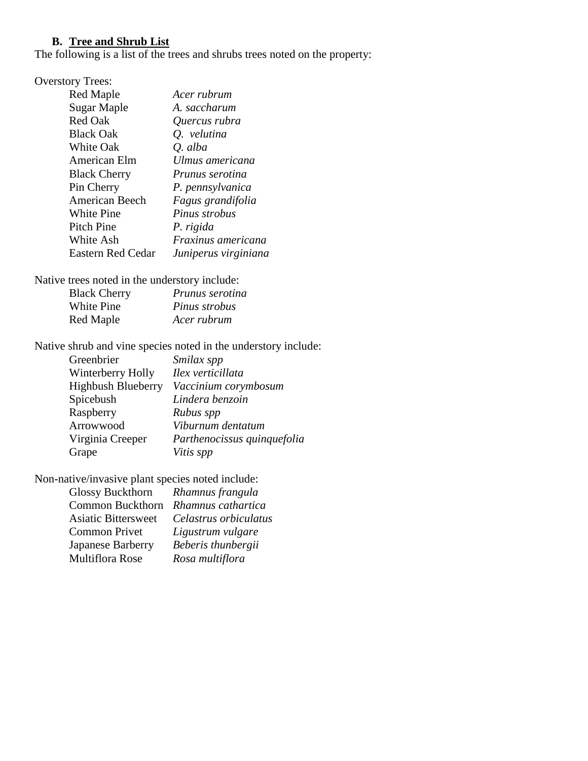### **B. Tree and Shrub List**

The following is a list of the trees and shrubs trees noted on the property:

## Overstory Trees:

| Red Maple                | Acer rubrum          |
|--------------------------|----------------------|
| Sugar Maple              | A. saccharum         |
| Red Oak                  | Quercus rubra        |
| <b>Black Oak</b>         | Q. velutina          |
| <b>White Oak</b>         | Q. alba              |
| American Elm             | Ulmus americana      |
| <b>Black Cherry</b>      | Prunus serotina      |
| Pin Cherry               | P. pennsylvanica     |
| <b>American Beech</b>    | Fagus grandifolia    |
| White Pine               | Pinus strobus        |
| Pitch Pine               | P. rigida            |
| White Ash                | Fraxinus americana   |
| <b>Eastern Red Cedar</b> | Juniperus virginiana |
|                          |                      |

Native trees noted in the understory include:

| <b>Black Cherry</b> | <i>Prunus serotina</i> |
|---------------------|------------------------|
| <b>White Pine</b>   | Pinus strobus          |
| Red Maple           | Acer rubrum            |

Native shrub and vine species noted in the understory include:

| Greenbrier                | Smilax spp                  |
|---------------------------|-----------------------------|
| Winterberry Holly         | Ilex verticillata           |
| <b>Highbush Blueberry</b> | Vaccinium corymbosum        |
| Spicebush                 | Lindera benzoin             |
| Raspberry                 | Rubus spp                   |
| Arrowwood                 | Viburnum dentatum           |
| Virginia Creeper          | Parthenocissus quinquefolia |
| Grape                     | Vitis spp                   |

Non-native/invasive plant species noted include:

| <b>Glossy Buckthorn</b>    | Rhamnus frangula      |
|----------------------------|-----------------------|
| <b>Common Buckthorn</b>    | Rhamnus cathartica    |
| <b>Asiatic Bittersweet</b> | Celastrus orbiculatus |
| <b>Common Privet</b>       | Ligustrum vulgare     |
| Japanese Barberry          | Beberis thunbergii    |
| Multiflora Rose            | Rosa multiflora       |